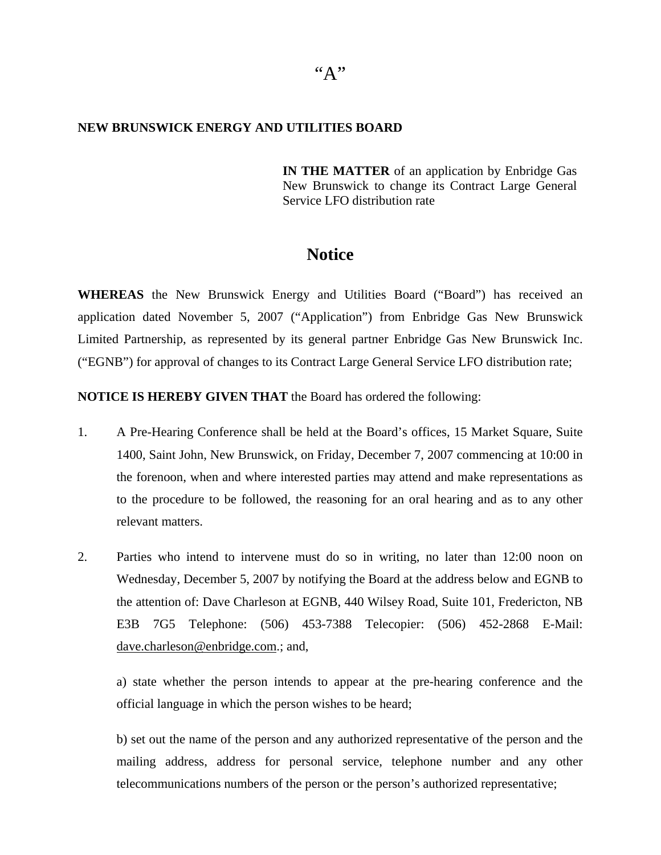## **NEW BRUNSWICK ENERGY AND UTILITIES BOARD**

**IN THE MATTER** of an application by Enbridge Gas New Brunswick to change its Contract Large General Service LFO distribution rate

## **Notice**

**WHEREAS** the New Brunswick Energy and Utilities Board ("Board") has received an application dated November 5, 2007 ("Application") from Enbridge Gas New Brunswick Limited Partnership, as represented by its general partner Enbridge Gas New Brunswick Inc. ("EGNB") for approval of changes to its Contract Large General Service LFO distribution rate;

**NOTICE IS HEREBY GIVEN THAT** the Board has ordered the following:

- 1. A Pre-Hearing Conference shall be held at the Board's offices, 15 Market Square, Suite 1400, Saint John, New Brunswick, on Friday, December 7, 2007 commencing at 10:00 in the forenoon, when and where interested parties may attend and make representations as to the procedure to be followed, the reasoning for an oral hearing and as to any other relevant matters.
- 2. Parties who intend to intervene must do so in writing, no later than 12:00 noon on Wednesday, December 5, 2007 by notifying the Board at the address below and EGNB to the attention of: Dave Charleson at EGNB, 440 Wilsey Road, Suite 101, Fredericton, NB E3B 7G5 Telephone: (506) 453-7388 Telecopier: (506) 452-2868 E-Mail: [dave.charleson@enbridge.com](mailto:dave.charleson@enbridge.com).; and,

a) state whether the person intends to appear at the pre-hearing conference and the official language in which the person wishes to be heard;

b) set out the name of the person and any authorized representative of the person and the mailing address, address for personal service, telephone number and any other telecommunications numbers of the person or the person's authorized representative;